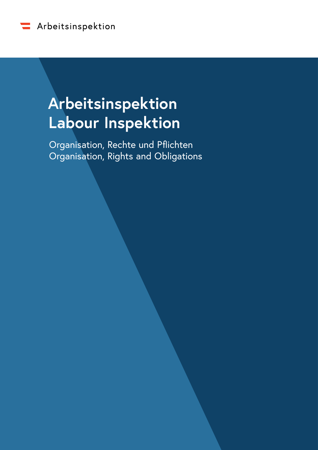

# **Arbeitsinspektion Labour Inspektion**

Organisation, Rechte und Pflichten Organisation, Rights and Obligations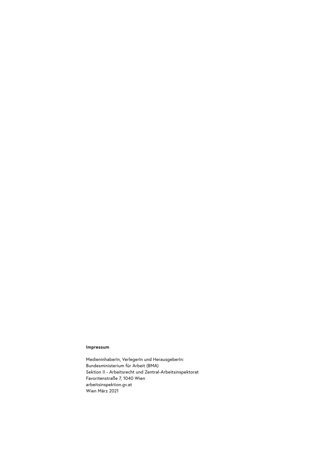#### **Impressum**

MedieninhaberIn, VerlegerIn und HerausgeberIn: Bundesministerium für Arbeit (BMA) Sektion II - Arbeitsrecht und Zentral-Arbeitsinspektorat Favoritenstraße 7, 1040 Wien arbeitsinspektion.gv.at Wien März 2021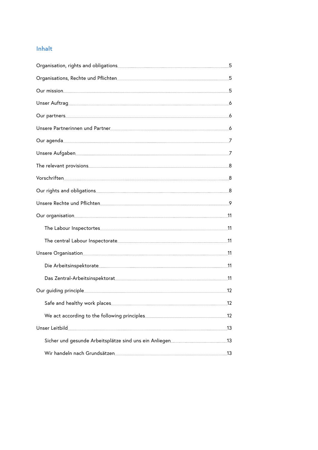# **Inhalt**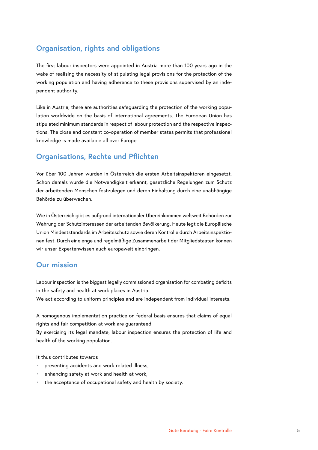# <span id="page-4-0"></span>**Organisation, rights and obligations**

The first labour inspectors were appointed in Austria more than 100 years ago in the wake of realising the necessity of stipulating legal provisions for the protection of the working population and having adherence to these provisions supervised by an independent authority.

Like in Austria, there are authorities safeguarding the protection of the working population worldwide on the basis of international agreements. The European Union has stipulated minimum standards in respect of labour protection and the respective inspections. The close and constant co-operation of member states permits that professional knowledge is made available all over Europe.

# **Organisations, Rechte und Pflichten**

Vor über 100 Jahren wurden in Österreich die ersten Arbeitsinspektoren eingesetzt. Schon damals wurde die Notwendigkeit erkannt, gesetzliche Regelungen zum Schutz der arbeitenden Menschen festzulegen und deren Einhaltung durch eine unabhängige Behörde zu überwachen.

Wie in Österreich gibt es aufgrund internationaler Übereinkommen weltweit Behörden zur Wahrung der Schutzinteressen der arbeitenden Bevölkerung. Heute legt die Europäische Union Mindeststandards im Arbeitsschutz sowie deren Kontrolle durch Arbeitsinspektionen fest. Durch eine enge und regelmäßige Zusammenarbeit der Mitgliedstaaten können wir unser Expertenwissen auch europaweit einbringen.

## **Our mission**

Labour inspection is the biggest legally commissioned organisation for combating deficits in the safety and health at work places in Austria.

We act according to uniform principles and are independent from individual interests.

A homogenous implementation practice on federal basis ensures that claims of equal rights and fair competition at work are guaranteed.

By exercising its legal mandate, labour inspection ensures the protection of life and health of the working population.

It thus contributes towards

- preventing accidents and work-related illness,
- enhancing safety at work and health at work,
- the acceptance of occupational safety and health by society.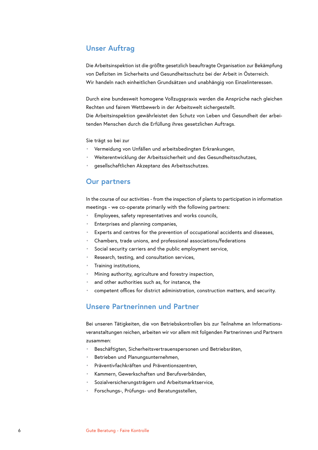# <span id="page-5-0"></span>**Unser Auftrag**

Die Arbeitsinspektion ist die größte gesetzlich beauftragte Organisation zur Bekämpfung von Defiziten im Sicherheits und Gesundheitsschutz bei der Arbeit in Österreich. Wir handeln nach einheitlichen Grundsätzen und unabhängig von Einzelinteressen.

Durch eine bundesweit homogene Vollzugspraxis werden die Ansprüche nach gleichen Rechten und fairem Wettbewerb in der Arbeitswelt sichergestellt. Die Arbeitsinspektion gewährleistet den Schutz von Leben und Gesundheit der arbeitenden Menschen durch die Erfüllung ihres gesetzlichen Auftrags.

Sie trägt so bei zur

- Vermeidung von Unfällen und arbeitsbedingten Erkrankungen,
- Weiterentwicklung der Arbeitssicherheit und des Gesundheitsschutzes,
- gesellschaftlichen Akzeptanz des Arbeitsschutzes.

## **Our partners**

In the course of our activities - from the inspection of plants to participation in information meetings - we co-operate primarily with the following partners:

- Employees, safety representatives and works councils,
- Enterprises and planning companies,
- Experts and centres for the prevention of occupational accidents and diseases,
- Chambers, trade unions, and professional associations/federations
- Social security carriers and the public employment service,
- Research, testing, and consultation services,
- Training institutions,
- Mining authority, agriculture and forestry inspection,
- and other authorities such as, for instance, the
- competent offices for district administration, construction matters, and security.

## **Unsere Partnerinnen und Partner**

Bei unseren Tätigkeiten, die von Betriebskontrollen bis zur Teilnahme an Informationsveranstaltungen reichen, arbeiten wir vor allem mit folgenden Partnerinnen und Partnern zusammen:

- Beschäftigten, Sicherheitsvertrauenspersonen und Betriebsräten,
- Betrieben und Planungsunternehmen,
- Präventivfachkräften und Präventionszentren,
- Kammern, Gewerkschaften und Berufsverbänden,
- Sozialversicherungsträgern und Arbeitsmarktservice,
- Forschungs-, Prüfungs- und Beratungsstellen,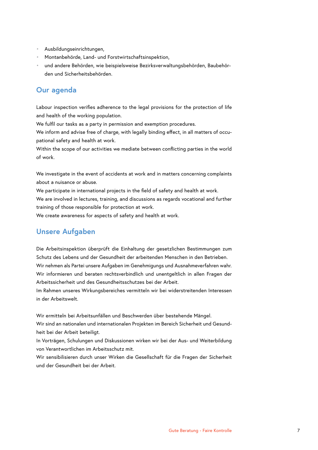- <span id="page-6-0"></span>• Ausbildungseinrichtungen,
- Montanbehörde, Land- und Forstwirtschaftsinspektion,
- und andere Behörden, wie beispielsweise Bezirksverwaltungsbehörden, Baubehörden und Sicherheitsbehörden.

# **Our agenda**

Labour inspection verifies adherence to the legal provisions for the protection of life and health of the working population.

We fulfil our tasks as a party in permission and exemption procedures.

We inform and advise free of charge, with legally binding effect, in all matters of occupational safety and health at work.

Within the scope of our activities we mediate between conflicting parties in the world of work.

We investigate in the event of accidents at work and in matters concerning complaints about a nuisance or abuse.

We participate in international projects in the field of safety and health at work.

We are involved in lectures, training, and discussions as regards vocational and further training of those responsible for protection at work.

We create awareness for aspects of safety and health at work.

# **Unsere Aufgaben**

Die Arbeitsinspektion überprüft die Einhaltung der gesetzlichen Bestimmungen zum Schutz des Lebens und der Gesundheit der arbeitenden Menschen in den Betrieben. Wir nehmen als Partei unsere Aufgaben im Genehmigungs und Ausnahmeverfahren wahr. Wir informieren und beraten rechtsverbindlich und unentgeltlich in allen Fragen der Arbeitssicherheit und des Gesundheitsschutzes bei der Arbeit.

Im Rahmen unseres Wirkungsbereiches vermitteln wir bei widerstreitenden Interessen in der Arbeitswelt.

Wir ermitteln bei Arbeitsunfällen und Beschwerden über bestehende Mängel.

Wir sind an nationalen und internationalen Projekten im Bereich Sicherheit und Gesundheit bei der Arbeit beteiligt.

In Vorträgen, Schulungen und Diskussionen wirken wir bei der Aus- und Weiterbildung von Verantwortlichen im Arbeitsschutz mit.

Wir sensibilisieren durch unser Wirken die Gesellschaft für die Fragen der Sicherheit und der Gesundheit bei der Arbeit.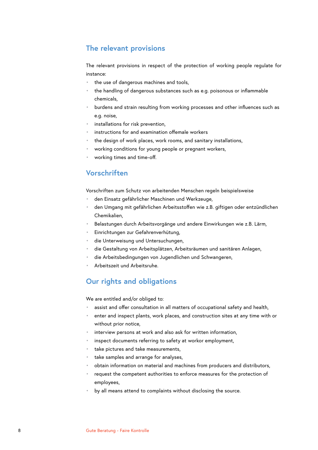# <span id="page-7-0"></span>**The relevant provisions**

The relevant provisions in respect of the protection of working people regulate for instance:

- the use of dangerous machines and tools,
- the handling of dangerous substances such as e.g. poisonous or inflammable chemicals,
- burdens and strain resulting from working processes and other influences such as e.g. noise,
- installations for risk prevention,
- instructions for and examination offemale workers
- the design of work places, work rooms, and sanitary installations,
- working conditions for young people or pregnant workers,
- working times and time-off.

# **Vorschriften**

Vorschriften zum Schutz von arbeitenden Menschen regeln beispielsweise

- den Einsatz gefährlicher Maschinen und Werkzeuge,
- den Umgang mit gefährlichen Arbeitsstoffen wie z.B. giftigen oder entzündlichen Chemikalien,
- Belastungen durch Arbeitsvorgänge und andere Einwirkungen wie z.B. Lärm,
- Einrichtungen zur Gefahrenverhütung,
- die Unterweisung und Untersuchungen,
- die Gestaltung von Arbeitsplätzen, Arbeitsräumen und sanitären Anlagen,
- die Arbeitsbedingungen von Jugendlichen und Schwangeren,
- Arbeitszeit und Arbeitsruhe.

## **Our rights and obligations**

We are entitled and/or obliged to:

- assist and offer consultation in all matters of occupational safety and health,
- enter and inspect plants, work places, and construction sites at any time with or without prior notice,
- interview persons at work and also ask for written information,
- inspect documents referring to safety at workor employment,
- take pictures and take measurements,
- take samples and arrange for analyses,
- obtain information on material and machines from producers and distributors,
- request the competent authorities to enforce measures for the protection of employees,
- by all means attend to complaints without disclosing the source.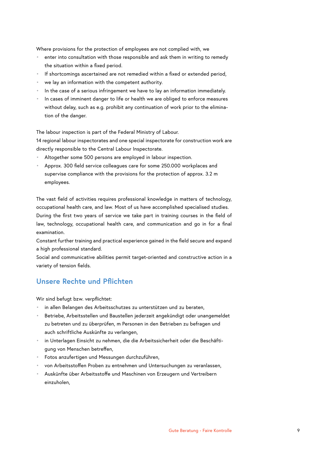<span id="page-8-0"></span>Where provisions for the protection of employees are not complied with, we

- enter into consultation with those responsible and ask them in writing to remedy the situation within a fixed period.
- If shortcomings ascertained are not remedied within a fixed or extended period,
- we lay an information with the competent authority.
- In the case of a serious infringement we have to lay an information immediately.
- In cases of imminent danger to life or health we are obliged to enforce measures without delay, such as e.g. prohibit any continuation of work prior to the elimination of the danger.

The labour inspection is part of the Federal Ministry of Labour. 14 regional labour inspectorates and one special inspectorate for construction work are

- directly responsible to the Central Labour Inspectorate.
- Altogether some 500 persons are employed in labour inspection.
- Approx. 300 field service colleagues care for some 250.000 workplaces and supervise compliance with the provisions for the protection of approx. 3.2 m employees.

The vast field of activities requires professional knowledge in matters of technology, occupational health care, and law. Most of us have accomplished specialised studies. During the first two years of service we take part in training courses in the field of law, technology, occupational health care, and communication and go in for a final examination.

Constant further training and practical experience gained in the field secure and expand a high professional standard.

Social and communicative abilities permit target-oriented and constructive action in a variety of tension fields.

# **Unsere Rechte und Pflichten**

Wir sind befugt bzw. verpflichtet:

- in allen Belangen des Arbeitsschutzes zu unterstützen und zu beraten,
- Betriebe, Arbeitsstellen und Baustellen jederzeit angekündigt oder unangemeldet zu betreten und zu überprüfen, m Personen in den Betrieben zu befragen und auch schriftliche Auskünfte zu verlangen,
- in Unterlagen Einsicht zu nehmen, die die Arbeitssicherheit oder die Beschäftigung von Menschen betreffen,
- Fotos anzufertigen und Messungen durchzuführen,
- von Arbeitsstoffen Proben zu entnehmen und Untersuchungen zu veranlassen,
- Auskünfte über Arbeitsstoffe und Maschinen von Erzeugern und Vertreibern einzuholen,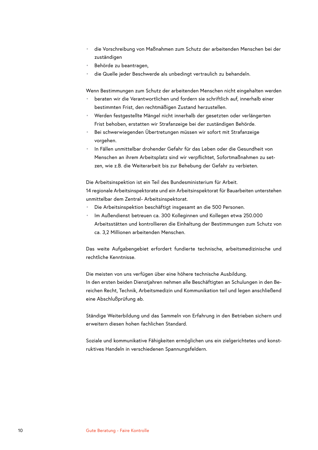- die Vorschreibung von Maßnahmen zum Schutz der arbeitenden Menschen bei der zuständigen
- Behörde zu beantragen,
- die Quelle jeder Beschwerde als unbedingt vertraulich zu behandeln.

Wenn Bestimmungen zum Schutz der arbeitenden Menschen nicht eingehalten werden

- beraten wir die Verantwortlichen und fordern sie schriftlich auf, innerhalb einer bestimmten Frist, den rechtmäßigen Zustand herzustellen.
- Werden festgestellte Mängel nicht innerhalb der gesetzten oder verlängerten Frist behoben, erstatten wir Strafanzeige bei der zuständigen Behörde.
- Bei schwerwiegenden Übertretungen müssen wir sofort mit Strafanzeige vorgehen.
- In Fällen unmittelbar drohender Gefahr für das Leben oder die Gesundheit von Menschen an ihrem Arbeitsplatz sind wir verpflichtet, Sofortmaßnahmen zu setzen, wie z.B. die Weiterarbeit bis zur Behebung der Gefahr zu verbieten.

Die Arbeitsinspektion ist ein Teil des Bundesministerium für Arbeit.

14 regionale Arbeitsinspektorate und ein Arbeitsinspektorat für Bauarbeiten unterstehen unmittelbar dem Zentral- Arbeitsinspektorat.

- Die Arbeitsinspektion beschäftigt insgesamt an die 500 Personen.
- Im Außendienst betreuen ca. 300 Kolleginnen und Kollegen etwa 250.000 Arbeitsstätten und kontrollieren die Einhaltung der Bestimmungen zum Schutz von ca. 3,2 Millionen arbeitenden Menschen.

Das weite Aufgabengebiet erfordert fundierte technische, arbeitsmedizinische und rechtliche Kenntnisse.

Die meisten von uns verfügen über eine höhere technische Ausbildung. In den ersten beiden Dienstjahren nehmen alle Beschäftigten an Schulungen in den Bereichen Recht, Technik, Arbeitsmedizin und Kommunikation teil und legen anschließend eine Abschlußprüfung ab.

Ständige Weiterbildung und das Sammeln von Erfahrung in den Betrieben sichern und erweitern diesen hohen fachlichen Standard.

Soziale und kommunikative Fähigkeiten ermöglichen uns ein zielgerichtetes und konstruktives Handeln in verschiedenen Spannungsfeldern.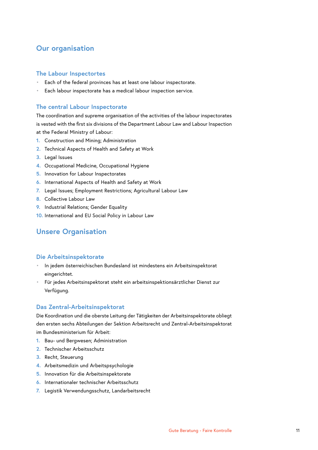# <span id="page-10-0"></span>**Our organisation**

#### **The Labour Inspectortes**

- Each of the federal provinces has at least one labour inspectorate.
- Each labour inspectorate has a medical labour inspection service.

## **The central Labour Inspectorate**

The coordination and supreme organisation of the activities of the labour inspectorates is vested with the first six divisions of the Department Labour Law and Labour Inspection at the Federal Ministry of Labour:

- **1.** Construction and Mining; Administration
- **2.** Technical Aspects of Health and Safety at Work
- **3.** Legal Issues
- **4.** Occupational Medicine, Occupational Hygiene
- **5.** Innovation for Labour Inspectorates
- **6.** International Aspects of Health and Safety at Work
- **7.** Legal Issues; Employment Restrictions; Agricultural Labour Law
- **8.** Collective Labour Law
- **9.** Industrial Relations; Gender Equality
- **10.** International and EU Social Policy in Labour Law

## **Unsere Organisation**

## **Die Arbeitsinspektorate**

- In jedem österreichischen Bundesland ist mindestens ein Arbeitsinspektorat eingerichtet.
- Für jedes Arbeitsinspektorat steht ein arbeitsinspektionsärztlicher Dienst zur Verfügung.

#### **Das Zentral-Arbeitsinspektorat**

Die Koordination und die oberste Leitung der Tätigkeiten der Arbeitsinspektorate obliegt den ersten sechs Abteilungen der Sektion Arbeitsrecht und Zentral-Arbeitsinspektorat im Bundesministerium für Arbeit:

- **1.** Bau- und Bergwesen; Administration
- **2.** Technischer Arbeitsschutz
- **3.** Recht, Steuerung
- **4.** Arbeitsmedizin und Arbeitspsychologie
- **5.** Innovation für die Arbeitsinspektorate
- **6.** Internationaler technischer Arbeitsschutz
- **7.** Legistik Verwendungsschutz, Landarbeitsrecht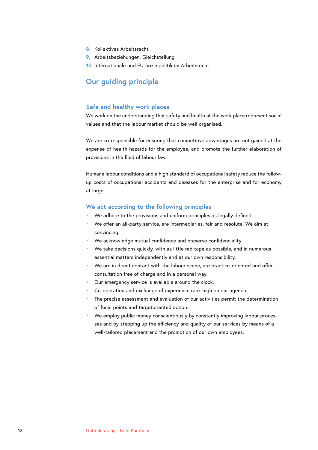- <span id="page-11-0"></span>**8.** Kollektives Arbeitsrecht
- **9.** Arbeitsbeziehungen, Gleichstellung
- **10.** Internationale und EU-Sozialpolitik im Arbeitsrecht

## **Our guiding principle**

#### **Safe and healthy work places**

We work on the understanding that safety and health at the work place represent social values and that the labour market should be well organised.

We are co-responsible for ensuring that competitive advantages are not gained at the expense of health hazards for the employee, and promote the further elaboration of provisions in the filed of labour law.

Humane labour conditions and a high standard of occupational safety reduce the followup costs of occupational accidents and diseases for the enterprise and for economy at large.

#### **We act according to the following principles**

- We adhere to the provisions and uniform principles as legally defined.
- We offer an all-party service, are intermediaries, fair and resolute. We aim at convincing.
- We acknowledge mutual confidence and preserve confidenciality.
- We take decisions quickly, with as little red tape as possible, and in numerous essential matters independently and at our own responsibility.
- We are in direct contact with the labour scene, are practice-oriented and offer consultation free of charge and in a personal way.
- Our emergency service is available around the clock.
- Co-operation and exchange of experience rank high on our agenda.
- The precise assessment and evaluation of our activities permit the determination of focal points and targetoriented action.
- We employ public money conscientiously by constantly improving labour processes and by stepping up the efficiency and quality of our services by means of a well-tailored placement and the promotion of our own employees.